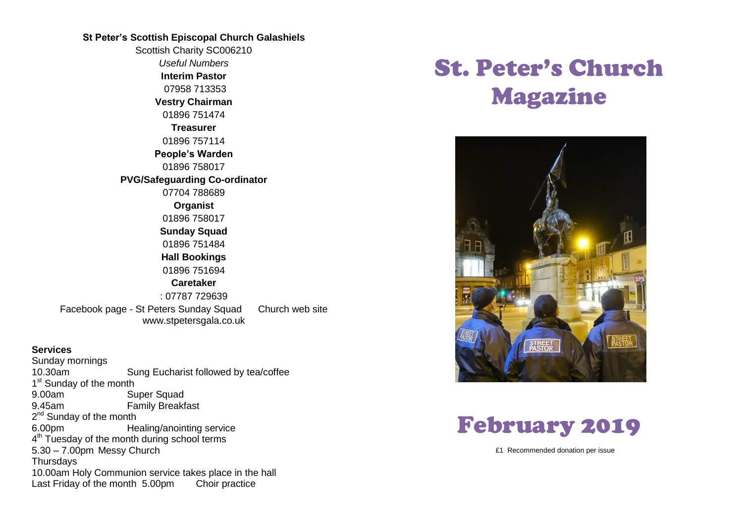#### **St Peter's Scottish Episcopal Church Galashiels**

Scottish Charity SC006210 *Useful Numbers*  **Interim Pastor** 07958 713353 **Vestry Chairman** 01896 751474 **Treasurer** 01896 757114 **People's Warden** 01896 758017 **PVG/Safeguarding Co-ordinator** 07704 788689 **Organist** 01896 758017 **Sunday Squad** 01896 751484 **Hall Bookings** 01896 751694 **Caretaker** : 07787 729639 Facebook page - St Peters Sunday Squad Church web site www.stpetersgala.co.uk

#### **Services**

Sunday mornings 10.30am Sung Eucharist followed by tea/coffee 1<sup>st</sup> Sunday of the month 9.00am Super Squad 9.45am Family Breakfast 2<sup>nd</sup> Sunday of the month 6.00pm Healing/anointing service 4<sup>th</sup> Tuesday of the month during school terms 5.30 – 7.00pm Messy Church **Thursdays** 10.00am Holy Communion service takes place in the hall Last Friday of the month 5.00pm Choir practice

# St. Peter's Church Magazine





£1 Recommended donation per issue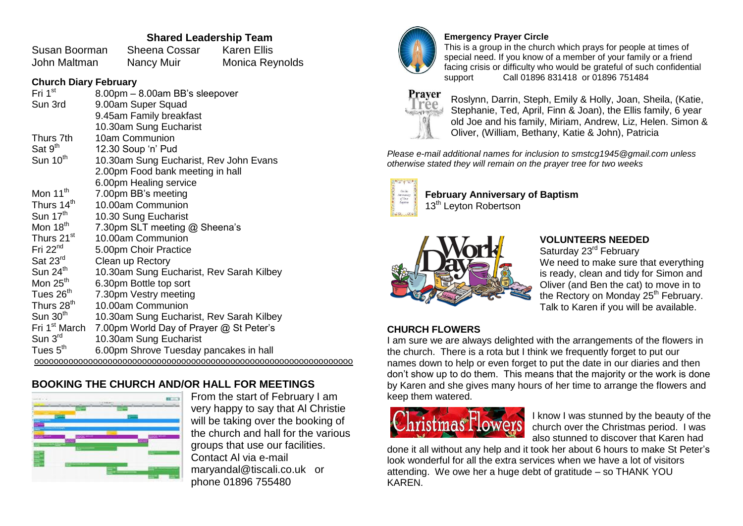## **Shared Leadership Team**

Susan Boorman Sheena Cossar Karen Ellis John Maltman Nancy Muir Monica Reynolds

#### **Church Diary February**

| Fri 1 <sup>st</sup>       | 8.00pm - 8.00am BB's sleepover           |
|---------------------------|------------------------------------------|
| Sun 3rd                   | 9.00am Super Squad                       |
|                           | 9.45am Family breakfast                  |
|                           | 10.30am Sung Eucharist                   |
| Thurs 7th                 | 10am Communion                           |
| Sat 9 <sup>th</sup>       | 12.30 Soup 'n' Pud                       |
| Sun 10 <sup>th</sup>      | 10.30am Sung Eucharist, Rev John Evans   |
|                           | 2.00pm Food bank meeting in hall         |
|                           | 6.00pm Healing service                   |
| Mon 11 <sup>th</sup>      | 7.00pm BB's meeting                      |
| Thurs 14 <sup>th</sup>    | 10.00am Communion                        |
| Sun 17 <sup>th</sup>      | 10.30 Sung Eucharist                     |
| Mon $18th$                | 7.30pm SLT meeting @ Sheena's            |
| Thurs 21 <sup>st</sup>    | 10.00am Communion                        |
| Fri $22^{nd}$             | 5.00pm Choir Practice                    |
| Sat 23 <sup>rd</sup>      | Clean up Rectory                         |
| Sun $24^{\text{th}}$      | 10.30am Sung Eucharist, Rev Sarah Kilbey |
| Mon $25th$                | 6.30pm Bottle top sort                   |
| Tues 26 <sup>th</sup>     | 7.30pm Vestry meeting                    |
| Thurs 28 <sup>th</sup>    | 10.00am Communion                        |
| Sun $30th$                | 10.30am Sung Eucharist, Rev Sarah Kilbey |
| Fri 1 <sup>st</sup> March | 7.00pm World Day of Prayer @ St Peter's  |
| Sun $3rd$                 | 10.30am Sung Eucharist                   |
| Tues $5th$                | 6.00pm Shrove Tuesday pancakes in hall   |
|                           |                                          |

# **BOOKING THE CHURCH AND/OR HALL FOR MEETINGS**



From the start of February I am very happy to say that Al Christie will be taking over the booking of the church and hall for the various groups that use our facilities. Contact Al via e-mail maryandal@tiscali.co.uk or phone 01896 755480



### **Emergency Prayer Circle**

This is a group in the church which prays for people at times of special need. If you know of a member of your family or a friend facing crisis or difficulty who would be grateful of such confidential support Call 01896 831418 or 01896 751484



Roslynn, Darrin, Steph, Emily & Holly, Joan, Sheila, (Katie, Stephanie, Ted, April, Finn & Joan), the Ellis family, 6 year old Joe and his family, Miriam, Andrew, Liz, Helen. Simon & Oliver, (William, Bethany, Katie & John), Patricia

*Please e-mail additional names for inclusion to smstcg1945@gmail.com unless otherwise stated they will remain on the prayer tree for two weeks*



**February Anniversary of Baptism** 13<sup>th</sup> Leyton Robertson



#### **VOLUNTEERS NEEDED**

Saturday 23<sup>rd</sup> February We need to make sure that everything is ready, clean and tidy for Simon and Oliver (and Ben the cat) to move in to the Rectory on Monday 25<sup>th</sup> February. Talk to Karen if you will be available.

#### **CHURCH FLOWERS**

I am sure we are always delighted with the arrangements of the flowers in the church. There is a rota but I think we frequently forget to put our names down to help or even forget to put the date in our diaries and then don't show up to do them. This means that the majority or the work is done by Karen and she gives many hours of her time to arrange the flowers and keep them watered.



I know I was stunned by the beauty of the church over the Christmas period. I was also stunned to discover that Karen had

done it all without any help and it took her about 6 hours to make St Peter's look wonderful for all the extra services when we have a lot of visitors attending. We owe her a huge debt of gratitude – so THANK YOU KAREN.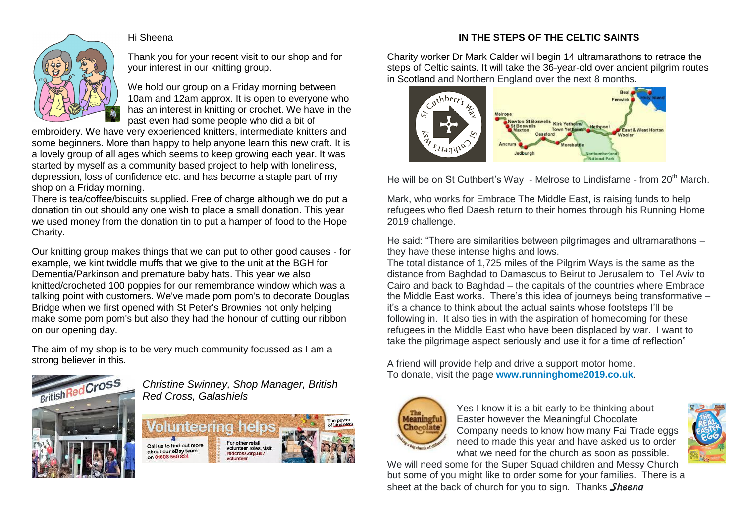## **IN THE STEPS OF THE CELTIC SAINTS**



Hi Sheena

Thank you for your recent visit to our shop and for your interest in our knitting group.

We hold our group on a Friday morning between 10am and 12am approx. It is open to everyone who has an interest in knitting or crochet. We have in the past even had some people who did a bit of

embroidery. We have very experienced knitters, intermediate knitters and some beginners. More than happy to help anyone learn this new craft. It is a lovely group of all ages which seems to keep growing each year. It was started by myself as a community based project to help with loneliness, depression, loss of confidence etc. and has become a staple part of my shop on a Friday morning.

There is tea/coffee/biscuits supplied. Free of charge although we do put a donation tin out should any one wish to place a small donation. This year we used money from the donation tin to put a hamper of food to the Hope Charity.

Our knitting group makes things that we can put to other good causes - for example, we kint twiddle muffs that we give to the unit at the BGH for Dementia/Parkinson and premature baby hats. This year we also knitted/crocheted 100 poppies for our remembrance window which was a talking point with customers. We've made pom pom's to decorate Douglas Bridge when we first opened with St Peter's Brownies not only helping make some pom pom's but also they had the honour of cutting our ribbon on our opening day.

The aim of my shop is to be very much community focussed as I am a strong believer in this.



*Christine Swinney, Shop Manager, British Red Cross, Galashiels*



Charity worker Dr Mark Calder will begin 14 ultramarathons to retrace the steps of [Celtic](https://www.thenational.scot/search/?search=Celtic&topic_id=8968) saints. It will take the 36-year-old over ancient pilgrim routes in [Scotland](https://www.thenational.scot/search/?search=Scotland&topic_id=9026) and Northern England over the next 8 months.



He will be on St Cuthbert's Way - Melrose to Lindisfarne - from 20<sup>th</sup> March.

Mark, who works for Embrace The Middle East, is raising funds to help refugees who fled Daesh return to their homes through his Running Home 2019 challenge.

He said: "There are similarities between pilgrimages and ultramarathons – they have these intense highs and lows.

The total distance of 1,725 miles of the Pilgrim Ways is the same as the distance from Baghdad to Damascus to Beirut to Jerusalem to Tel Aviv to Cairo and back to Baghdad – the capitals of the countries where Embrace the Middle East works. There's this idea of journeys being transformative – it's a chance to think about the actual saints whose footsteps I'll be following in. It also ties in with the aspiration of homecoming for these refugees in the Middle East who have been displaced by war. I want to take the pilgrimage aspect seriously and use it for a time of reflection"

A friend will provide help and drive a support motor home. To donate, visit the page **[www.runninghome2019.co.uk](http://www.runninghome2019.co.uk/)**.



Yes I know it is a bit early to be thinking about Easter however the Meaningful Chocolate Company needs to know how many Fai Trade eggs need to made this year and have asked us to order what we need for the church as soon as possible.

We will need some for the Super Squad children and Messy Church but some of you might like to order some for your families. There is a sheet at the back of church for you to sign. Thanks Sheena

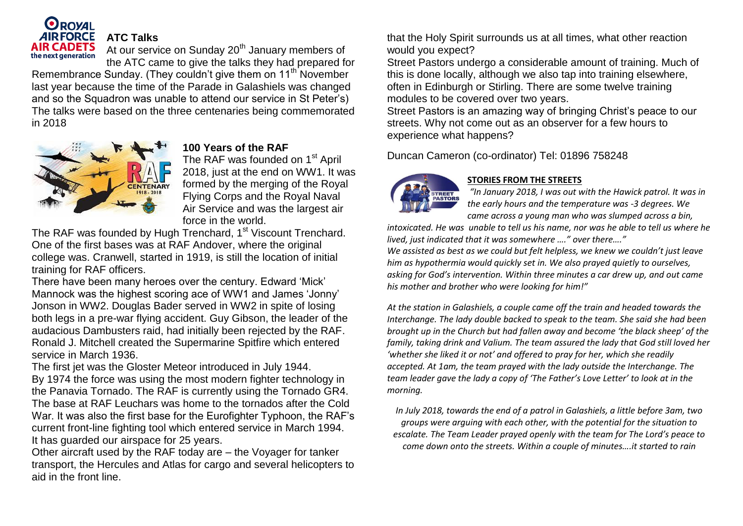

## **ATC Talks**

At our service on Sunday 20<sup>th</sup> January members of

the ATC came to give the talks they had prepared for Remembrance Sunday. (They couldn't give them on 11<sup>th</sup> November last year because the time of the Parade in Galashiels was changed and so the Squadron was unable to attend our service in St Peter's) The talks were based on the three centenaries being commemorated in 2018



# **100 Years of the RAF**

The RAF was founded on 1<sup>st</sup> April 2018, just at the end on WW1. It was formed by the merging of the Royal Flying Corps and the Royal Naval Air Service and was the largest air force in the world.

The RAF was founded by Hugh Trenchard, 1<sup>st</sup> Viscount Trenchard. One of the first bases was at RAF Andover, where the original college was. Cranwell, started in 1919, is still the location of initial training for RAF officers.

There have been many heroes over the century. Edward 'Mick' Mannock was the highest scoring ace of WW1 and James 'Jonny' Jonson in WW2. Douglas Bader served in WW2 in spite of losing both legs in a pre-war flying accident. Guy Gibson, the leader of the audacious Dambusters raid, had initially been rejected by the RAF. Ronald J. Mitchell created the Supermarine Spitfire which entered service in March 1936.

The first jet was the Gloster Meteor introduced in July 1944. By 1974 the force was using the most modern fighter technology in the Panavia Tornado. The RAF is currently using the Tornado GR4. The base at RAF Leuchars was home to the tornados after the Cold War. It was also the first base for the Eurofighter Typhoon, the RAF's current front-line fighting tool which entered service in March 1994. It has guarded our airspace for 25 years.

Other aircraft used by the RAF today are – the Voyager for tanker transport, the Hercules and Atlas for cargo and several helicopters to aid in the front line.

that the Holy Spirit surrounds us at all times, what other reaction would you expect?

Street Pastors undergo a considerable amount of training. Much of this is done locally, although we also tap into training elsewhere, often in Edinburgh or Stirling. There are some twelve training modules to be covered over two years.

Street Pastors is an amazing way of bringing Christ's peace to our streets. Why not come out as an observer for a few hours to experience what happens?

Duncan Cameron (co-ordinator) Tel: 01896 758248



#### **STORIES FROM THE STREETS**

*"In January 2018, I was out with the Hawick patrol. It was in the early hours and the temperature was -3 degrees. We came across a young man who was slumped across a bin,* 

*intoxicated. He was unable to tell us his name, nor was he able to tell us where he lived, just indicated that it was somewhere …." over there…."*

*We assisted as best as we could but felt helpless, we knew we couldn't just leave him as hypothermia would quickly set in. We also prayed quietly to ourselves, asking for God's intervention. Within three minutes a car drew up, and out came his mother and brother who were looking for him!"*

*At the station in Galashiels, a couple came off the train and headed towards the Interchange. The lady double backed to speak to the team. She said she had been brought up in the Church but had fallen away and become 'the black sheep' of the family, taking drink and Valium. The team assured the lady that God still loved her 'whether she liked it or not' and offered to pray for her, which she readily accepted. At 1am, the team prayed with the lady outside the Interchange. The team leader gave the lady a copy of 'The Father's Love Letter' to look at in the morning.*

*In July 2018, towards the end of a patrol in Galashiels, a little before 3am, two groups were arguing with each other, with the potential for the situation to escalate. The Team Leader prayed openly with the team for The Lord's peace to come down onto the streets. Within a couple of minutes….it started to rain*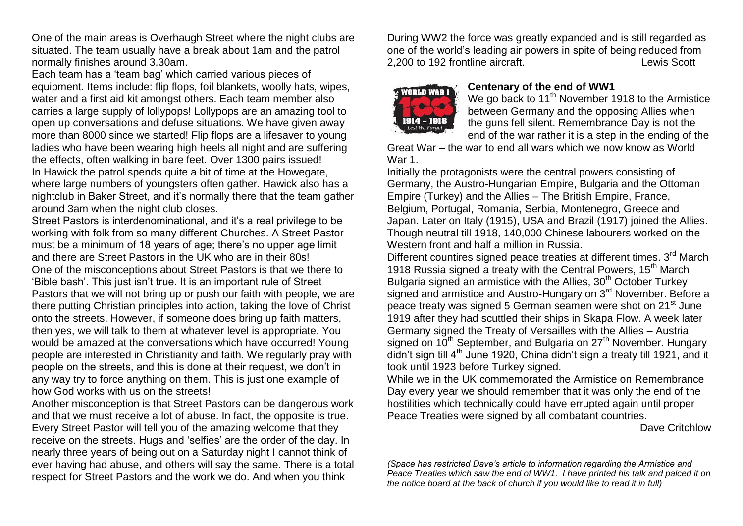One of the main areas is Overhaugh Street where the night clubs are situated. The team usually have a break about 1am and the patrol normally finishes around 3.30am.

Each team has a 'team bag' which carried various pieces of equipment. Items include: flip flops, foil blankets, woolly hats, wipes, water and a first aid kit amongst others. Each team member also carries a large supply of lollypops! Lollypops are an amazing tool to open up conversations and defuse situations. We have given away more than 8000 since we started! Flip flops are a lifesaver to young ladies who have been wearing high heels all night and are suffering the effects, often walking in bare feet. Over 1300 pairs issued! In Hawick the patrol spends quite a bit of time at the Howegate, where large numbers of youngsters often gather. Hawick also has a nightclub in Baker Street, and it's normally there that the team gather around 3am when the night club closes.

Street Pastors is interdenominational, and it's a real privilege to be working with folk from so many different Churches. A Street Pastor must be a minimum of 18 years of age; there's no upper age limit and there are Street Pastors in the UK who are in their 80s! One of the misconceptions about Street Pastors is that we there to 'Bible bash'. This just isn't true. It is an important rule of Street Pastors that we will not bring up or push our faith with people, we are there putting Christian principles into action, taking the love of Christ onto the streets. However, if someone does bring up faith matters, then yes, we will talk to them at whatever level is appropriate. You would be amazed at the conversations which have occurred! Young people are interested in Christianity and faith. We regularly pray with people on the streets, and this is done at their request, we don't in any way try to force anything on them. This is just one example of how God works with us on the streets!

Another misconception is that Street Pastors can be dangerous work and that we must receive a lot of abuse. In fact, the opposite is true. Every Street Pastor will tell you of the amazing welcome that they receive on the streets. Hugs and 'selfies' are the order of the day. In nearly three years of being out on a Saturday night I cannot think of ever having had abuse, and others will say the same. There is a total respect for Street Pastors and the work we do. And when you think

During WW2 the force was greatly expanded and is still regarded as one of the world's leading air powers in spite of being reduced from 2.200 to 192 frontline aircraft. Lewis Scott



#### **Centenary of the end of WW1**

We go back to 11<sup>th</sup> November 1918 to the Armistice between Germany and the opposing Allies when the guns fell silent. Remembrance Day is not the end of the war rather it is a step in the ending of the

Great War – the war to end all wars which we now know as World War 1.

Initially the protagonists were the central powers consisting of Germany, the Austro-Hungarian Empire, Bulgaria and the Ottoman Empire (Turkey) and the Allies – The British Empire, France, Belgium, Portugal, Romania, Serbia, Montenegro, Greece and Japan. Later on Italy (1915), USA and Brazil (1917) joined the Allies. Though neutral till 1918, 140,000 Chinese labourers worked on the Western front and half a million in Russia.

Different countires signed peace treaties at different times. 3<sup>rd</sup> March 1918 Russia signed a treaty with the Central Powers,  $15<sup>th</sup>$  March Bulgaria signed an armistice with the Allies, 30<sup>th</sup> October Turkey signed and armistice and Austro-Hungary on 3<sup>rd</sup> November. Before a peace treaty was signed 5 German seamen were shot on 21<sup>st</sup> June 1919 after they had scuttled their ships in Skapa Flow. A week later Germany signed the Treaty of Versailles with the Allies – Austria signed on  $10^{th}$  September, and Bulgaria on  $27^{th}$  November. Hungary didn't sign till  $4<sup>th</sup>$  June 1920, China didn't sign a treaty till 1921, and it took until 1923 before Turkey signed.

While we in the UK commemorated the Armistice on Remembrance Day every year we should remember that it was only the end of the hostilities which technically could have errupted again until proper Peace Treaties were signed by all combatant countries.

Dave Critchlow

*(Space has restricted Dave's article to information regarding the Armistice and Peace Treaties which saw the end of WW1. I have printed his talk and palced it on the notice board at the back of church if you would like to read it in full)*